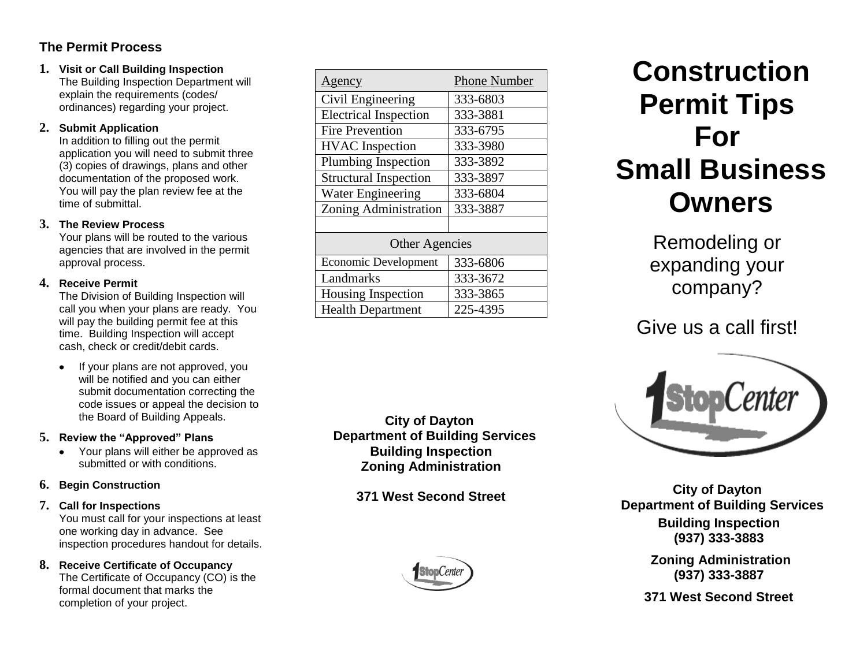### **The Permit Process**

**1. Visit or Call Building Inspection** The Building Inspection Department will explain the requirements (codes/ ordinances) regarding your project.

### **2. Submit Application**

In addition to filling out the permit application you will need to submit three (3) copies of drawings, plans and other documentation of the proposed work. You will pay the plan review fee at the time of submittal.

### **3. The Review Process**

Your plans will be routed to the various agencies that are involved in the permit approval process.

### **4. Receive Permit**

The Division of Building Inspection will call you when your plans are ready. You will pay the building permit fee at this time. Building Inspection will accept cash, check or credit/debit cards.

If your plans are not approved, you will be notified and you can either submit documentation correcting the code issues or appeal the decision to the Board of Building Appeals.

### **5. Review the "Approved" Plans**

• Your plans will either be approved as submitted or with conditions.

### **6. Begin Construction**

### **7. Call for Inspections**

You must call for your inspections at least one working day in advance. See inspection procedures handout for details.

### **8. Receive Certificate of Occupancy**

The Certificate of Occupancy (CO) is the formal document that marks the completion of your project.

| Agency                       | <b>Phone Number</b> |
|------------------------------|---------------------|
| Civil Engineering            | 333-6803            |
| <b>Electrical Inspection</b> | 333-3881            |
| <b>Fire Prevention</b>       | 333-6795            |
| <b>HVAC</b> Inspection       | 333-3980            |
| Plumbing Inspection          | 333-3892            |
| <b>Structural Inspection</b> | 333-3897            |
| <b>Water Engineering</b>     | 333-6804            |
| Zoning Administration        | 333-3887            |
|                              |                     |
| <b>Other Agencies</b>        |                     |
| <b>Economic Development</b>  | 333-6806            |
| Landmarks                    | 333-3672            |
| Housing Inspection           | 333-3865            |
| <b>Health Department</b>     | 225-4395            |

**City of Dayton Department of Building Services Building Inspection Zoning Administration**

**371 West Second Street**



## **Construction Permit Tips For Small Business Owners**

Remodeling or expanding your company?

### Give us a call first!



**City of Dayton Department of Building Services Building Inspection (937) 333-3883**

> **Zoning Administration (937) 333-3887**

**371 West Second Street**